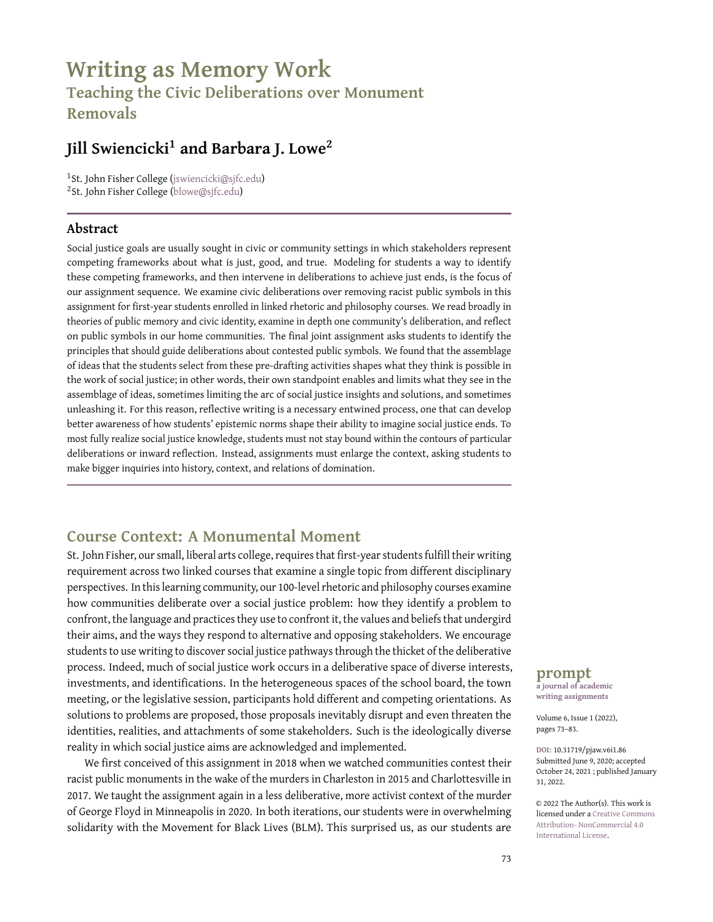# **Writing as Memory Work Teaching the Civic Deliberations over Monument**

**Removals**

## **Jill Swiencicki<sup>1</sup> and Barbara J. Lowe<sup>2</sup>**

1 St. John Fisher College [\(jswiencicki@sjfc.edu\)](jswiencicki@sjfc.edu) <sup>2</sup>St. John Fisher College [\(blowe@sjfc.edu\)](blowe@sjfc.edu)

#### **Abstract**

Social justice goals are usually sought in civic or community settings in which stakeholders represent competing frameworks about what is just, good, and true. Modeling for students a way to identify these competing frameworks, and then intervene in deliberations to achieve just ends, is the focus of our assignment sequence. We examine civic deliberations over removing racist public symbols in this assignment for first-year students enrolled in linked rhetoric and philosophy courses. We read broadly in theories of public memory and civic identity, examine in depth one community's deliberation, and reflect on public symbols in our home communities. The final joint assignment asks students to identify the principles that should guide deliberations about contested public symbols. We found that the assemblage of ideas that the students select from these pre-drafting activities shapes what they think is possible in the work of social justice; in other words, their own standpoint enables and limits what they see in the assemblage of ideas, sometimes limiting the arc of social justice insights and solutions, and sometimes unleashing it. For this reason, reflective writing is a necessary entwined process, one that can develop better awareness of how students' epistemic norms shape their ability to imagine social justice ends. To most fully realize social justice knowledge, students must not stay bound within the contours of particular deliberations or inward reflection. Instead, assignments must enlarge the context, asking students to make bigger inquiries into history, context, and relations of domination.

### **Course Context: A Monumental Moment**

St. John Fisher, our small, liberal arts college, requires that first-year students fulfill their writing requirement across two linked courses that examine a single topic from different disciplinary perspectives. In this learning community, our 100-level rhetoric and philosophy courses examine how communities deliberate over a social justice problem: how they identify a problem to confront, the language and practices they use to confront it, the values and beliefs that undergird their aims, and the ways they respond to alternative and opposing stakeholders. We encourage students to use writing to discover social justice pathways through the thicket of the deliberative process. Indeed, much of social justice work occurs in a deliberative space of diverse interests, investments, and identifications. In the heterogeneous spaces of the school board, the town meeting, or the legislative session, participants hold different and competing orientations. As solutions to problems are proposed, those proposals inevitably disrupt and even threaten the identities, realities, and attachments of some stakeholders. Such is the ideologically diverse reality in which social justice aims are acknowledged and implemented.

We first conceived of this assignment in 2018 when we watched communities contest their racist public monuments in the wake of the murders in Charleston in 2015 and Charlottesville in 2017. We taught the assignment again in a less deliberative, more activist context of the murder of George Floyd in Minneapolis in 2020. In both iterations, our students were in overwhelming solidarity with the Movement for Black Lives (BLM). This surprised us, as our students are **prompt**

**a journal of academic writing assignments**

Volume 6, Issue 1 (2022), pages 73–83.

**DOI:** 10.31719/pjaw.v6i1.86 Submitted June 9, 2020; accepted October 24, 2021 ; published January 31, 2022.

© 2022 The Author(s). This work is licensed under a [Creative Commons](http://creativecommons.org/licenses/by-nc/4.0/) [Attribution- NonCommercial 4.0](http://creativecommons.org/licenses/by-nc/4.0/) [International License.](http://creativecommons.org/licenses/by-nc/4.0/)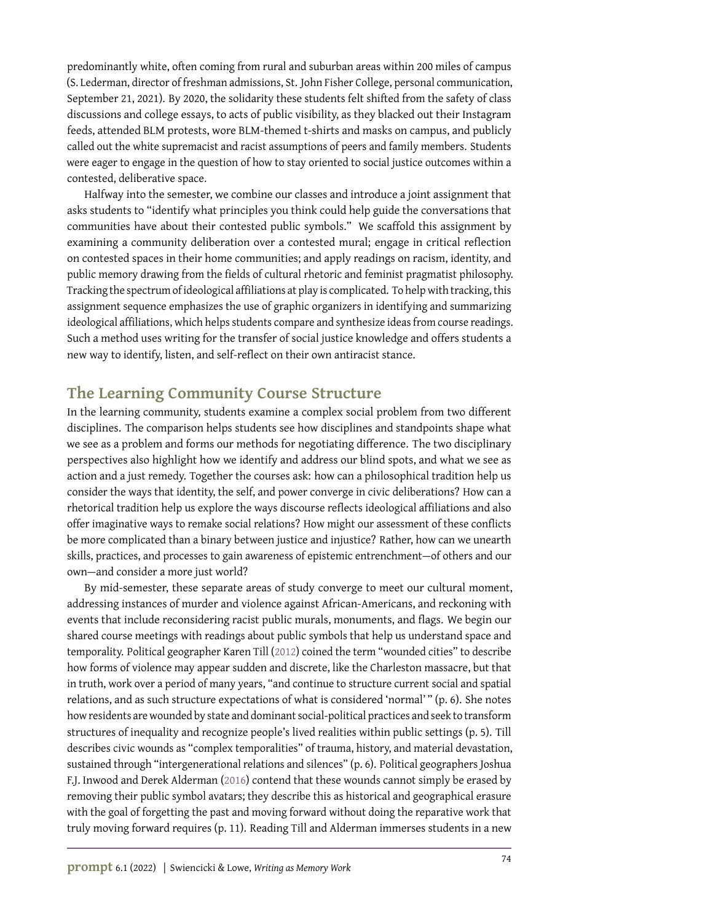predominantly white, often coming from rural and suburban areas within 200 miles of campus (S. Lederman, director of freshman admissions, St. John Fisher College, personal communication, September 21, 2021). By 2020, the solidarity these students felt shifted from the safety of class discussions and college essays, to acts of public visibility, as they blacked out their Instagram feeds, attended BLM protests, wore BLM-themed t-shirts and masks on campus, and publicly called out the white supremacist and racist assumptions of peers and family members. Students were eager to engage in the question of how to stay oriented to social justice outcomes within a contested, deliberative space.

Halfway into the semester, we combine our classes and introduce a joint assignment that asks students to "identify what principles you think could help guide the conversations that communities have about their contested public symbols." We scaffold this assignment by examining a community deliberation over a contested mural; engage in critical reflection on contested spaces in their home communities; and apply readings on racism, identity, and public memory drawing from the fields of cultural rhetoric and feminist pragmatist philosophy. Tracking the spectrum of ideological affiliations at play is complicated. To help with tracking, this assignment sequence emphasizes the use of graphic organizers in identifying and summarizing ideological affiliations, which helps students compare and synthesize ideas from course readings. Such a method uses writing for the transfer of social justice knowledge and offers students a new way to identify, listen, and self-reflect on their own antiracist stance.

### **The Learning Community Course Structure**

In the learning community, students examine a complex social problem from two different disciplines. The comparison helps students see how disciplines and standpoints shape what we see as a problem and forms our methods for negotiating difference. The two disciplinary perspectives also highlight how we identify and address our blind spots, and what we see as action and a just remedy. Together the courses ask: how can a philosophical tradition help us consider the ways that identity, the self, and power converge in civic deliberations? How can a rhetorical tradition help us explore the ways discourse reflects ideological affiliations and also offer imaginative ways to remake social relations? How might our assessment of these conflicts be more complicated than a binary between justice and injustice? Rather, how can we unearth skills, practices, and processes to gain awareness of epistemic entrenchment—of others and our own—and consider a more just world?

By mid-semester, these separate areas of study converge to meet our cultural moment, addressing instances of murder and violence against African-Americans, and reckoning with events that include reconsidering racist public murals, monuments, and flags. We begin our shared course meetings with readings about public symbols that help us understand space and temporality. Political geographer Karen Till [\(2012\)](#page-10-0) coined the term "wounded cities" to describe how forms of violence may appear sudden and discrete, like the Charleston massacre, but that in truth, work over a period of many years, "and continue to structure current social and spatial relations, and as such structure expectations of what is considered 'normal' " (p. 6). She notes how residents are wounded by state and dominant social-political practices and seek to transform structures of inequality and recognize people's lived realities within public settings (p. 5). Till describes civic wounds as "complex temporalities" of trauma, history, and material devastation, sustained through "intergenerational relations and silences" (p. 6). Political geographers Joshua F.J. Inwood and Derek Alderman [\(2016\)](#page-10-1) contend that these wounds cannot simply be erased by removing their public symbol avatars; they describe this as historical and geographical erasure with the goal of forgetting the past and moving forward without doing the reparative work that truly moving forward requires (p. 11). Reading Till and Alderman immerses students in a new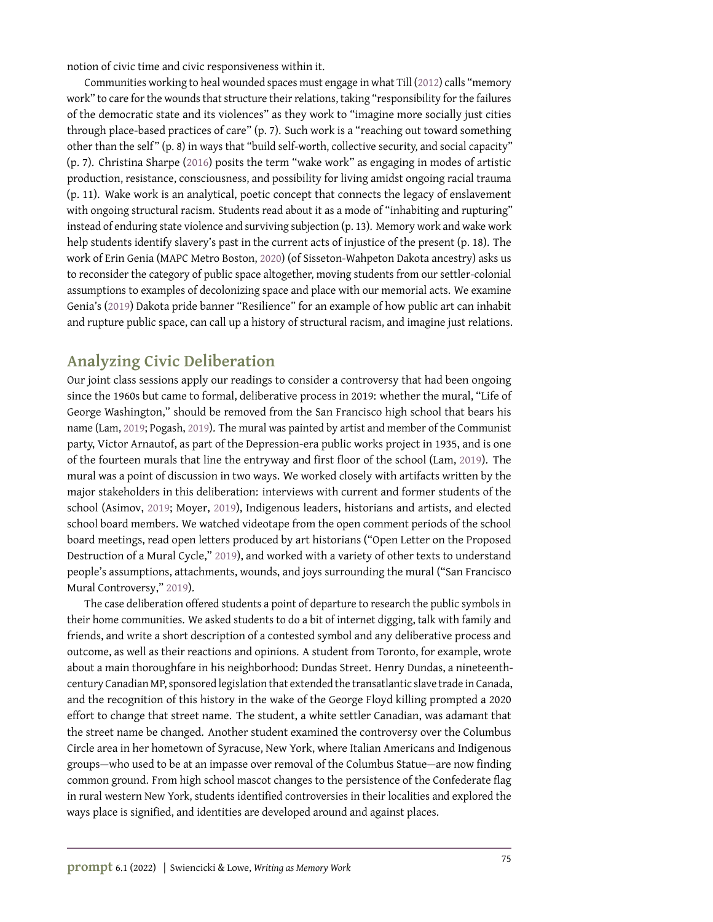notion of civic time and civic responsiveness within it.

Communities working to heal wounded spaces must engage in what Till [\(2012\)](#page-10-0) calls "memory work" to care for the wounds that structure their relations, taking "responsibility for the failures of the democratic state and its violences" as they work to "imagine more socially just cities through place-based practices of care" (p. 7). Such work is a "reaching out toward something other than the self " (p. 8) in ways that "build self-worth, collective security, and social capacity" (p. 7). Christina Sharpe [\(2016\)](#page-10-2) posits the term "wake work" as engaging in modes of artistic production, resistance, consciousness, and possibility for living amidst ongoing racial trauma (p. 11). Wake work is an analytical, poetic concept that connects the legacy of enslavement with ongoing structural racism. Students read about it as a mode of "inhabiting and rupturing" instead of enduring state violence and surviving subjection (p. 13). Memory work and wake work help students identify slavery's past in the current acts of injustice of the present (p. 18). The work of Erin Genia (MAPC Metro Boston, [2020\)](#page-10-3) (of Sisseton-Wahpeton Dakota ancestry) asks us to reconsider the category of public space altogether, moving students from our settler-colonial assumptions to examples of decolonizing space and place with our memorial acts. We examine Genia's [\(2019\)](#page-10-4) Dakota pride banner "Resilience" for an example of how public art can inhabit and rupture public space, can call up a history of structural racism, and imagine just relations.

### **Analyzing Civic Deliberation**

Our joint class sessions apply our readings to consider a controversy that had been ongoing since the 1960s but came to formal, deliberative process in 2019: whether the mural, "Life of George Washington," should be removed from the San Francisco high school that bears his name (Lam, [2019;](#page-10-5) Pogash, [2019\)](#page-10-6). The mural was painted by artist and member of the Communist party, Victor Arnautof, as part of the Depression-era public works project in 1935, and is one of the fourteen murals that line the entryway and first floor of the school (Lam, [2019\)](#page-10-5). The mural was a point of discussion in two ways. We worked closely with artifacts written by the major stakeholders in this deliberation: interviews with current and former students of the school (Asimov, [2019;](#page-10-7) Moyer, [2019\)](#page-10-8), Indigenous leaders, historians and artists, and elected school board members. We watched videotape from the open comment periods of the school board meetings, read open letters produced by art historians ("Open Letter on the Proposed Destruction of a Mural Cycle," [2019\)](#page-10-9), and worked with a variety of other texts to understand people's assumptions, attachments, wounds, and joys surrounding the mural ("San Francisco Mural Controversy," [2019\)](#page-10-10).

The case deliberation offered students a point of departure to research the public symbols in their home communities. We asked students to do a bit of internet digging, talk with family and friends, and write a short description of a contested symbol and any deliberative process and outcome, as well as their reactions and opinions. A student from Toronto, for example, wrote about a main thoroughfare in his neighborhood: Dundas Street. Henry Dundas, a nineteenthcentury Canadian MP, sponsored legislation that extended the transatlantic slave trade in Canada, and the recognition of this history in the wake of the George Floyd killing prompted a 2020 effort to change that street name. The student, a white settler Canadian, was adamant that the street name be changed. Another student examined the controversy over the Columbus Circle area in her hometown of Syracuse, New York, where Italian Americans and Indigenous groups—who used to be at an impasse over removal of the Columbus Statue—are now finding common ground. From high school mascot changes to the persistence of the Confederate flag in rural western New York, students identified controversies in their localities and explored the ways place is signified, and identities are developed around and against places.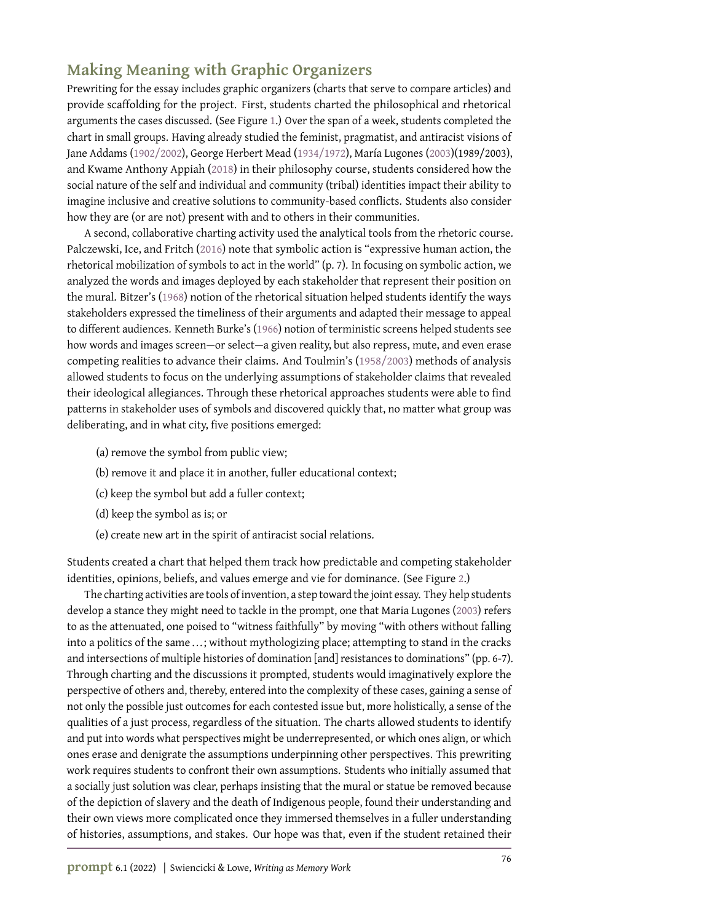## **Making Meaning with Graphic Organizers**

Prewriting for the essay includes graphic organizers (charts that serve to compare articles) and provide scaffolding for the project. First, students charted the philosophical and rhetorical arguments the cases discussed. (See Figure [1.](#page-8-0)) Over the span of a week, students completed the chart in small groups. Having already studied the feminist, pragmatist, and antiracist visions of Jane Addams [\(1902/2002\)](#page-10-11), George Herbert Mead [\(1934/1972\)](#page-10-12), María Lugones [\(2003\)](#page-10-13)(1989/2003), and Kwame Anthony Appiah [\(2018\)](#page-10-14) in their philosophy course, students considered how the social nature of the self and individual and community (tribal) identities impact their ability to imagine inclusive and creative solutions to community-based conflicts. Students also consider how they are (or are not) present with and to others in their communities.

A second, collaborative charting activity used the analytical tools from the rhetoric course. Palczewski, Ice, and Fritch [\(2016\)](#page-10-15) note that symbolic action is "expressive human action, the rhetorical mobilization of symbols to act in the world" (p. 7). In focusing on symbolic action, we analyzed the words and images deployed by each stakeholder that represent their position on the mural. Bitzer's [\(1968\)](#page-10-16) notion of the rhetorical situation helped students identify the ways stakeholders expressed the timeliness of their arguments and adapted their message to appeal to different audiences. Kenneth Burke's [\(1966\)](#page-10-17) notion of terministic screens helped students see how words and images screen—or select—a given reality, but also repress, mute, and even erase competing realities to advance their claims. And Toulmin's [\(1958/2003\)](#page-10-18) methods of analysis allowed students to focus on the underlying assumptions of stakeholder claims that revealed their ideological allegiances. Through these rhetorical approaches students were able to find patterns in stakeholder uses of symbols and discovered quickly that, no matter what group was deliberating, and in what city, five positions emerged:

- (a) remove the symbol from public view;
- (b) remove it and place it in another, fuller educational context;
- (c) keep the symbol but add a fuller context;
- (d) keep the symbol as is; or
- (e) create new art in the spirit of antiracist social relations.

Students created a chart that helped them track how predictable and competing stakeholder identities, opinions, beliefs, and values emerge and vie for dominance. (See Figure [2.](#page-9-0))

The charting activities are tools of invention, a step toward the joint essay. They help students develop a stance they might need to tackle in the prompt, one that Maria Lugones [\(2003\)](#page-10-13) refers to as the attenuated, one poised to "witness faithfully" by moving "with others without falling into a politics of the same ...; without mythologizing place; attempting to stand in the cracks and intersections of multiple histories of domination [and] resistances to dominations" (pp. 6-7). Through charting and the discussions it prompted, students would imaginatively explore the perspective of others and, thereby, entered into the complexity of these cases, gaining a sense of not only the possible just outcomes for each contested issue but, more holistically, a sense of the qualities of a just process, regardless of the situation. The charts allowed students to identify and put into words what perspectives might be underrepresented, or which ones align, or which ones erase and denigrate the assumptions underpinning other perspectives. This prewriting work requires students to confront their own assumptions. Students who initially assumed that a socially just solution was clear, perhaps insisting that the mural or statue be removed because of the depiction of slavery and the death of Indigenous people, found their understanding and their own views more complicated once they immersed themselves in a fuller understanding of histories, assumptions, and stakes. Our hope was that, even if the student retained their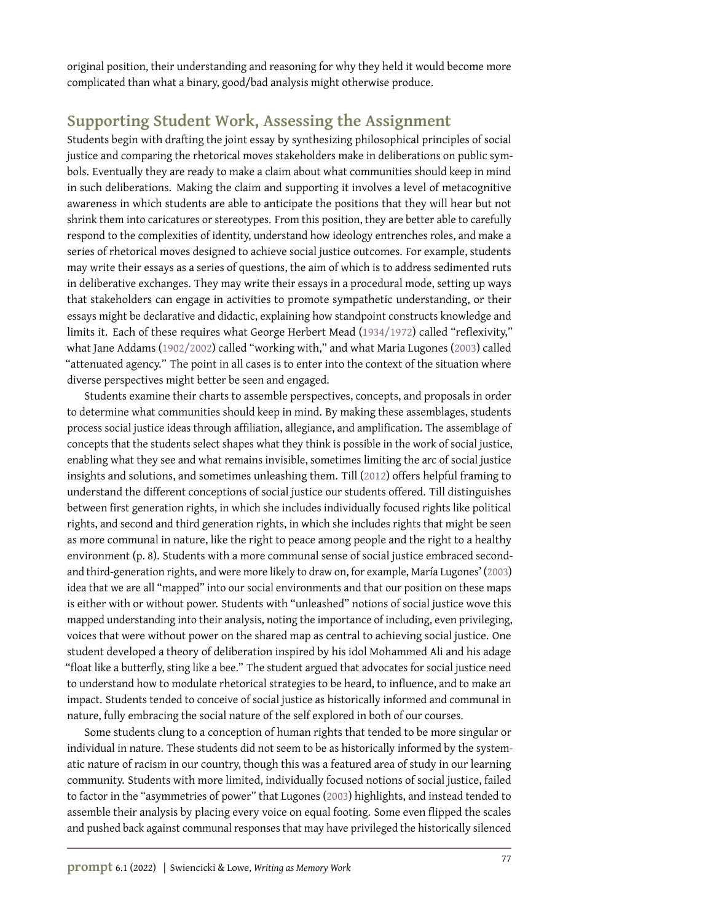original position, their understanding and reasoning for why they held it would become more complicated than what a binary, good/bad analysis might otherwise produce.

### **Supporting Student Work, Assessing the Assignment**

Students begin with drafting the joint essay by synthesizing philosophical principles of social justice and comparing the rhetorical moves stakeholders make in deliberations on public symbols. Eventually they are ready to make a claim about what communities should keep in mind in such deliberations. Making the claim and supporting it involves a level of metacognitive awareness in which students are able to anticipate the positions that they will hear but not shrink them into caricatures or stereotypes. From this position, they are better able to carefully respond to the complexities of identity, understand how ideology entrenches roles, and make a series of rhetorical moves designed to achieve social justice outcomes. For example, students may write their essays as a series of questions, the aim of which is to address sedimented ruts in deliberative exchanges. They may write their essays in a procedural mode, setting up ways that stakeholders can engage in activities to promote sympathetic understanding, or their essays might be declarative and didactic, explaining how standpoint constructs knowledge and limits it. Each of these requires what George Herbert Mead [\(1934/1972\)](#page-10-12) called "reflexivity," what Jane Addams [\(1902/2002\)](#page-10-11) called "working with," and what Maria Lugones [\(2003\)](#page-10-13) called "attenuated agency." The point in all cases is to enter into the context of the situation where diverse perspectives might better be seen and engaged.

Students examine their charts to assemble perspectives, concepts, and proposals in order to determine what communities should keep in mind. By making these assemblages, students process social justice ideas through affiliation, allegiance, and amplification. The assemblage of concepts that the students select shapes what they think is possible in the work of social justice, enabling what they see and what remains invisible, sometimes limiting the arc of social justice insights and solutions, and sometimes unleashing them. Till [\(2012\)](#page-10-0) offers helpful framing to understand the different conceptions of social justice our students offered. Till distinguishes between first generation rights, in which she includes individually focused rights like political rights, and second and third generation rights, in which she includes rights that might be seen as more communal in nature, like the right to peace among people and the right to a healthy environment (p. 8). Students with a more communal sense of social justice embraced secondand third-generation rights, and were more likely to draw on, for example, María Lugones' [\(2003\)](#page-10-13) idea that we are all "mapped" into our social environments and that our position on these maps is either with or without power. Students with "unleashed" notions of social justice wove this mapped understanding into their analysis, noting the importance of including, even privileging, voices that were without power on the shared map as central to achieving social justice. One student developed a theory of deliberation inspired by his idol Mohammed Ali and his adage "float like a butterfly, sting like a bee." The student argued that advocates for social justice need to understand how to modulate rhetorical strategies to be heard, to influence, and to make an impact. Students tended to conceive of social justice as historically informed and communal in nature, fully embracing the social nature of the self explored in both of our courses.

Some students clung to a conception of human rights that tended to be more singular or individual in nature. These students did not seem to be as historically informed by the systematic nature of racism in our country, though this was a featured area of study in our learning community. Students with more limited, individually focused notions of social justice, failed to factor in the "asymmetries of power" that Lugones [\(2003\)](#page-10-13) highlights, and instead tended to assemble their analysis by placing every voice on equal footing. Some even flipped the scales and pushed back against communal responses that may have privileged the historically silenced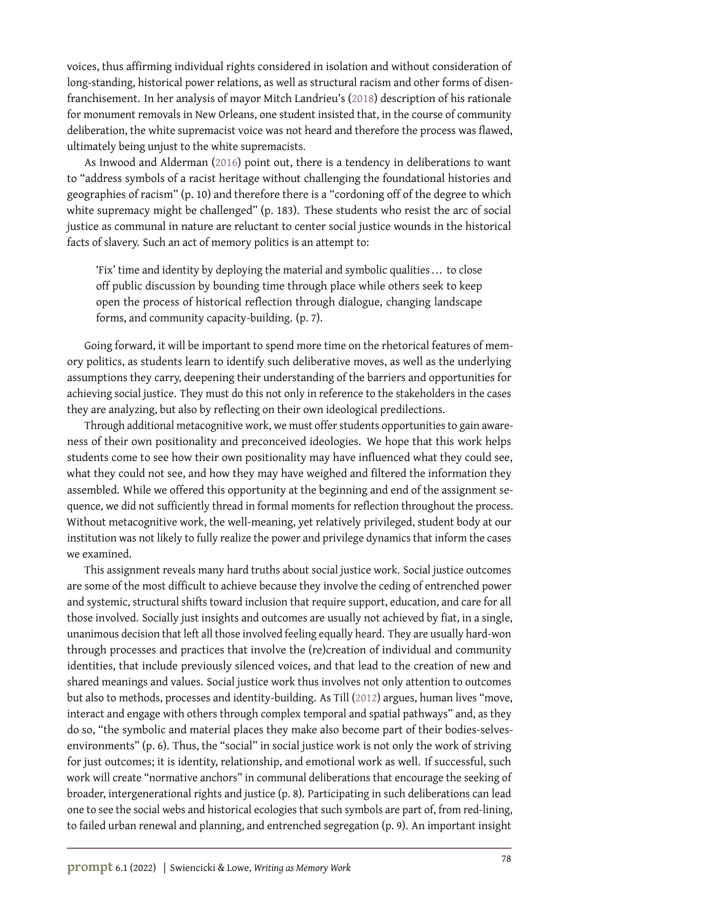voices, thus affirming individual rights considered in isolation and without consideration of long-standing, historical power relations, as well as structural racism and other forms of disenfranchisement. In her analysis of mayor Mitch Landrieu's [\(2018\)](#page-10-19) description of his rationale for monument removals in New Orleans, one student insisted that, in the course of community deliberation, the white supremacist voice was not heard and therefore the process was flawed, ultimately being unjust to the white supremacists.

As Inwood and Alderman [\(2016\)](#page-10-1) point out, there is a tendency in deliberations to want to "address symbols of a racist heritage without challenging the foundational histories and geographies of racism" (p. 10) and therefore there is a "cordoning off of the degree to which white supremacy might be challenged" (p. 183). These students who resist the arc of social justice as communal in nature are reluctant to center social justice wounds in the historical facts of slavery. Such an act of memory politics is an attempt to:

'Fix' time and identity by deploying the material and symbolic qualities ... to close off public discussion by bounding time through place while others seek to keep open the process of historical reflection through dialogue, changing landscape forms, and community capacity-building. (p. 7).

Going forward, it will be important to spend more time on the rhetorical features of memory politics, as students learn to identify such deliberative moves, as well as the underlying assumptions they carry, deepening their understanding of the barriers and opportunities for achieving social justice. They must do this not only in reference to the stakeholders in the cases they are analyzing, but also by reflecting on their own ideological predilections.

Through additional metacognitive work, we must offer students opportunities to gain awareness of their own positionality and preconceived ideologies. We hope that this work helps students come to see how their own positionality may have influenced what they could see, what they could not see, and how they may have weighed and filtered the information they assembled. While we offered this opportunity at the beginning and end of the assignment sequence, we did not sufficiently thread in formal moments for reflection throughout the process. Without metacognitive work, the well-meaning, yet relatively privileged, student body at our institution was not likely to fully realize the power and privilege dynamics that inform the cases we examined.

This assignment reveals many hard truths about social justice work. Social justice outcomes are some of the most difficult to achieve because they involve the ceding of entrenched power and systemic, structural shifts toward inclusion that require support, education, and care for all those involved. Socially just insights and outcomes are usually not achieved by fiat, in a single, unanimous decision that left all those involved feeling equally heard. They are usually hard-won through processes and practices that involve the (re)creation of individual and community identities, that include previously silenced voices, and that lead to the creation of new and shared meanings and values. Social justice work thus involves not only attention to outcomes but also to methods, processes and identity-building. As Till [\(2012\)](#page-10-0) argues, human lives "move, interact and engage with others through complex temporal and spatial pathways" and, as they do so, "the symbolic and material places they make also become part of their bodies-selvesenvironments" (p. 6). Thus, the "social" in social justice work is not only the work of striving for just outcomes; it is identity, relationship, and emotional work as well. If successful, such work will create "normative anchors" in communal deliberations that encourage the seeking of broader, intergenerational rights and justice (p. 8). Participating in such deliberations can lead one to see the social webs and historical ecologies that such symbols are part of, from red-lining, to failed urban renewal and planning, and entrenched segregation (p. 9). An important insight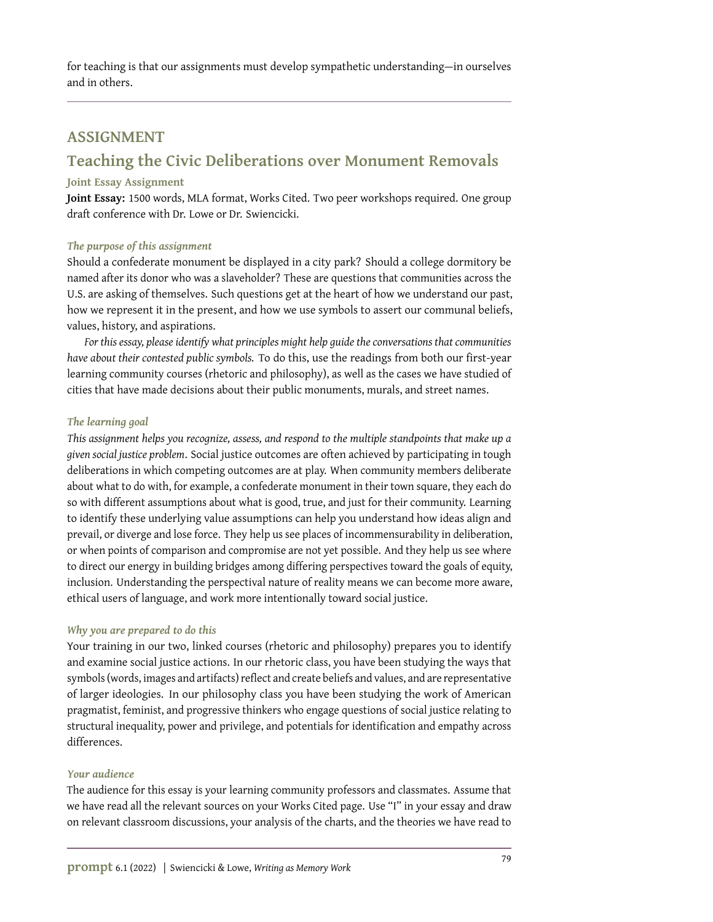for teaching is that our assignments must develop sympathetic understanding—in ourselves and in others.

### **ASSIGNMENT**

## **Teaching the Civic Deliberations over Monument Removals**

#### **Joint Essay Assignment**

**Joint Essay:** 1500 words, MLA format, Works Cited. Two peer workshops required. One group draft conference with Dr. Lowe or Dr. Swiencicki.

#### *The purpose of this assignment*

Should a confederate monument be displayed in a city park? Should a college dormitory be named after its donor who was a slaveholder? These are questions that communities across the U.S. are asking of themselves. Such questions get at the heart of how we understand our past, how we represent it in the present, and how we use symbols to assert our communal beliefs, values, history, and aspirations.

*For this essay, please identify what principles might help guide the conversations that communities have about their contested public symbols.* To do this, use the readings from both our first-year learning community courses (rhetoric and philosophy), as well as the cases we have studied of cities that have made decisions about their public monuments, murals, and street names.

#### *The learning goal*

*This assignment helps you recognize, assess, and respond to the multiple standpoints that make up a given social justice problem*. Social justice outcomes are often achieved by participating in tough deliberations in which competing outcomes are at play. When community members deliberate about what to do with, for example, a confederate monument in their town square, they each do so with different assumptions about what is good, true, and just for their community. Learning to identify these underlying value assumptions can help you understand how ideas align and prevail, or diverge and lose force. They help us see places of incommensurability in deliberation, or when points of comparison and compromise are not yet possible. And they help us see where to direct our energy in building bridges among differing perspectives toward the goals of equity, inclusion. Understanding the perspectival nature of reality means we can become more aware, ethical users of language, and work more intentionally toward social justice.

#### *Why you are prepared to do this*

Your training in our two, linked courses (rhetoric and philosophy) prepares you to identify and examine social justice actions. In our rhetoric class, you have been studying the ways that symbols (words, images and artifacts) reflect and create beliefs and values, and are representative of larger ideologies. In our philosophy class you have been studying the work of American pragmatist, feminist, and progressive thinkers who engage questions of social justice relating to structural inequality, power and privilege, and potentials for identification and empathy across differences.

#### *Your audience*

The audience for this essay is your learning community professors and classmates. Assume that we have read all the relevant sources on your Works Cited page. Use "I" in your essay and draw on relevant classroom discussions, your analysis of the charts, and the theories we have read to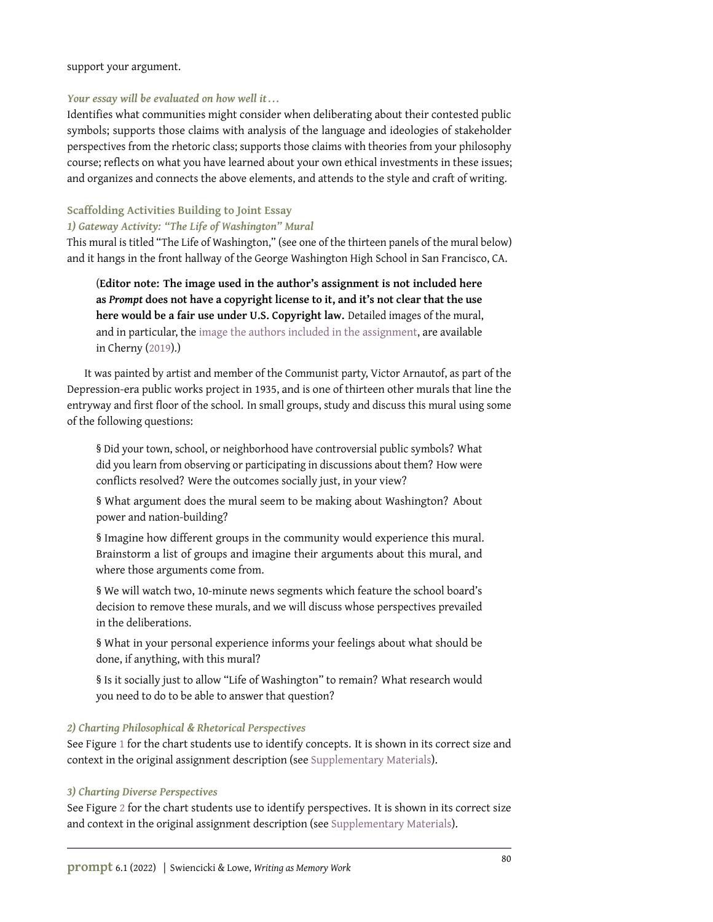#### support your argument.

#### *Your essay will be evaluated on how well it . . .*

Identifies what communities might consider when deliberating about their contested public symbols; supports those claims with analysis of the language and ideologies of stakeholder perspectives from the rhetoric class; supports those claims with theories from your philosophy course; reflects on what you have learned about your own ethical investments in these issues; and organizes and connects the above elements, and attends to the style and craft of writing.

#### **Scaffolding Activities Building to Joint Essay**

*1) Gateway Activity: "The Life of Washington" Mural*

This mural is titled "The Life of Washington," (see one of the thirteen panels of the mural below) and it hangs in the front hallway of the George Washington High School in San Francisco, CA.

(**Editor note: The image used in the author's assignment is not included here as** *Prompt* **does not have a copyright license to it, and it's not clear that the use here would be a fair use under U.S. Copyright law.** Detailed images of the mural, and in particular, the [image the authors included in the assignment,](https://livingnewdeal.org/wp-content/uploads/2019/09/16.-Pioneermural.jpg) are available in Cherny [\(2019\)](#page-10-20).)

It was painted by artist and member of the Communist party, Victor Arnautof, as part of the Depression-era public works project in 1935, and is one of thirteen other murals that line the entryway and first floor of the school. In small groups, study and discuss this mural using some of the following questions:

§ Did your town, school, or neighborhood have controversial public symbols? What did you learn from observing or participating in discussions about them? How were conflicts resolved? Were the outcomes socially just, in your view?

§ What argument does the mural seem to be making about Washington? About power and nation-building?

§ Imagine how different groups in the community would experience this mural. Brainstorm a list of groups and imagine their arguments about this mural, and where those arguments come from.

§ We will watch two, 10-minute news segments which feature the school board's decision to remove these murals, and we will discuss whose perspectives prevailed in the deliberations.

§ What in your personal experience informs your feelings about what should be done, if anything, with this mural?

§ Is it socially just to allow "Life of Washington" to remain? What research would you need to do to be able to answer that question?

#### *2) Charting Philosophical & Rhetorical Perspectives*

See Figure [1](#page-8-0) for the chart students use to identify concepts. It is shown in its correct size and context in the original assignment description (see [Supplementary Materials\)](https://doi.org/10.31719/pjaw.v6i1.86).

#### *3) Charting Diverse Perspectives*

See Figure [2](#page-9-0) for the chart students use to identify perspectives. It is shown in its correct size and context in the original assignment description (see [Supplementary Materials\)](https://doi.org/10.31719/pjaw.v6i1.86).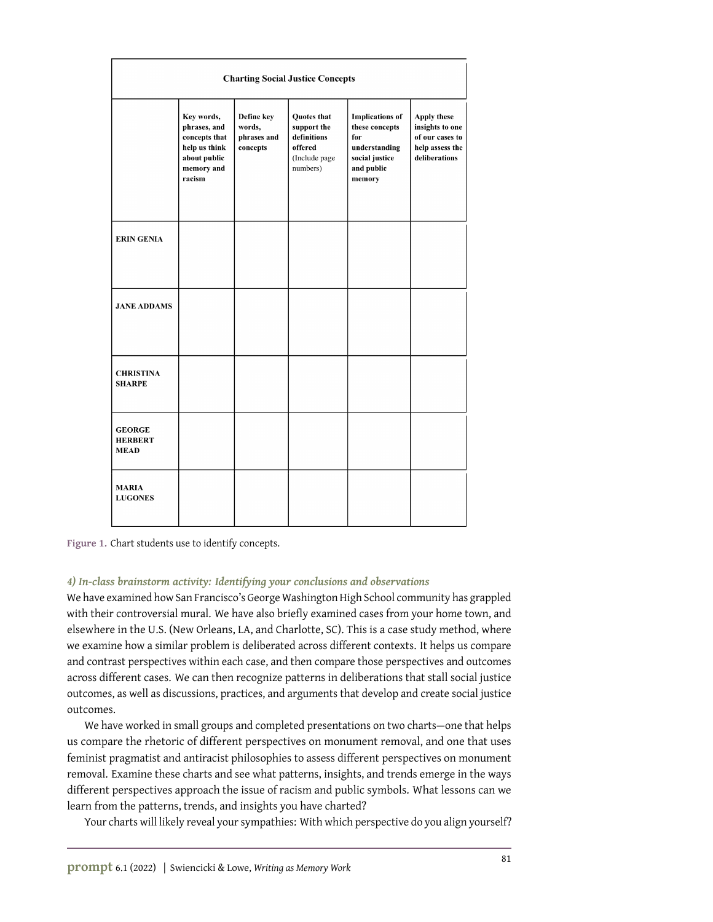<span id="page-8-0"></span>

| <b>Charting Social Justice Concepts</b>        |                                                                                                      |                                                 |                                                                                   |                                                                                                            |                                                                                              |  |  |
|------------------------------------------------|------------------------------------------------------------------------------------------------------|-------------------------------------------------|-----------------------------------------------------------------------------------|------------------------------------------------------------------------------------------------------------|----------------------------------------------------------------------------------------------|--|--|
|                                                | Key words,<br>phrases, and<br>concepts that<br>help us think<br>about public<br>memory and<br>racism | Define key<br>words,<br>phrases and<br>concepts | Quotes that<br>support the<br>definitions<br>offered<br>(Include page<br>numbers) | <b>Implications of</b><br>these concepts<br>for<br>understanding<br>social justice<br>and public<br>memory | <b>Apply these</b><br>insights to one<br>of our cases to<br>help assess the<br>deliberations |  |  |
| <b>ERIN GENIA</b>                              |                                                                                                      |                                                 |                                                                                   |                                                                                                            |                                                                                              |  |  |
| <b>JANE ADDAMS</b>                             |                                                                                                      |                                                 |                                                                                   |                                                                                                            |                                                                                              |  |  |
| <b>CHRISTINA</b><br><b>SHARPE</b>              |                                                                                                      |                                                 |                                                                                   |                                                                                                            |                                                                                              |  |  |
| <b>GEORGE</b><br><b>HERBERT</b><br><b>MEAD</b> |                                                                                                      |                                                 |                                                                                   |                                                                                                            |                                                                                              |  |  |
| <b>MARIA</b><br><b>LUGONES</b>                 |                                                                                                      |                                                 |                                                                                   |                                                                                                            |                                                                                              |  |  |

**Figure 1.** Chart students use to identify concepts.

#### *4) In-class brainstorm activity: Identifying your conclusions and observations*

We have examined how San Francisco's George Washington High School community has grappled with their controversial mural. We have also briefly examined cases from your home town, and elsewhere in the U.S. (New Orleans, LA, and Charlotte, SC). This is a case study method, where we examine how a similar problem is deliberated across different contexts. It helps us compare and contrast perspectives within each case, and then compare those perspectives and outcomes across different cases. We can then recognize patterns in deliberations that stall social justice outcomes, as well as discussions, practices, and arguments that develop and create social justice outcomes.

We have worked in small groups and completed presentations on two charts—one that helps us compare the rhetoric of different perspectives on monument removal, and one that uses feminist pragmatist and antiracist philosophies to assess different perspectives on monument removal. Examine these charts and see what patterns, insights, and trends emerge in the ways different perspectives approach the issue of racism and public symbols. What lessons can we learn from the patterns, trends, and insights you have charted?

Your charts will likely reveal your sympathies: With which perspective do you align yourself?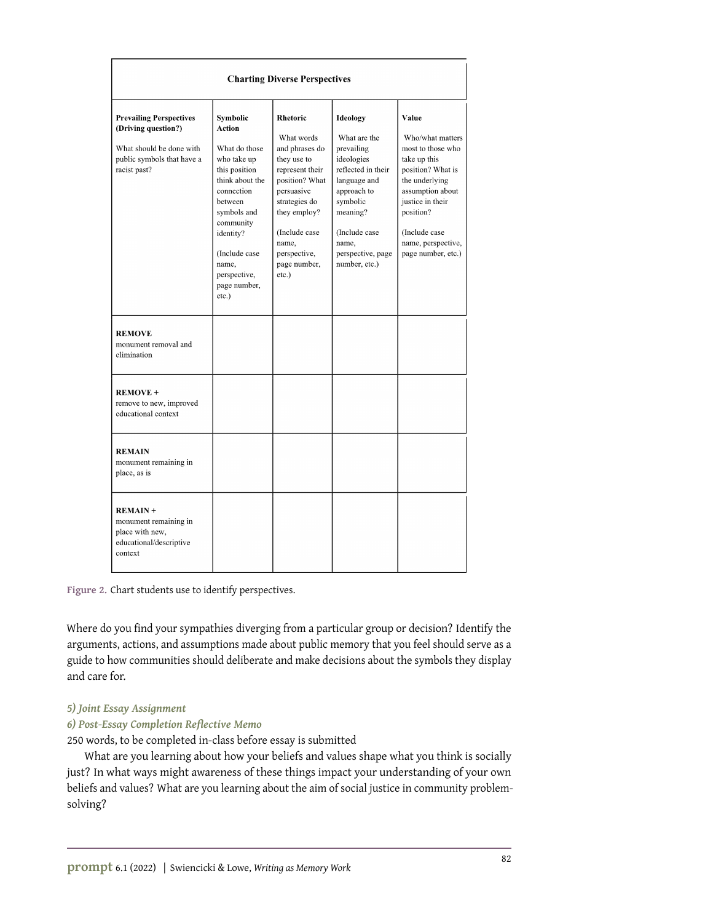<span id="page-9-0"></span>

| <b>Charting Diverse Perspectives</b>                                                                                            |                                                                                                                                                                                                                             |                                                                                                                                                                                                                   |                                                                                                                                                                                                          |                                                                                                                                                                                                                          |  |  |  |  |
|---------------------------------------------------------------------------------------------------------------------------------|-----------------------------------------------------------------------------------------------------------------------------------------------------------------------------------------------------------------------------|-------------------------------------------------------------------------------------------------------------------------------------------------------------------------------------------------------------------|----------------------------------------------------------------------------------------------------------------------------------------------------------------------------------------------------------|--------------------------------------------------------------------------------------------------------------------------------------------------------------------------------------------------------------------------|--|--|--|--|
| <b>Prevailing Perspectives</b><br>(Driving question?)<br>What should be done with<br>public symbols that have a<br>racist past? | Symbolic<br>Action<br>What do those<br>who take up<br>this position<br>think about the<br>connection<br>between<br>symbols and<br>community<br>identity?<br>(Include case<br>name,<br>perspective,<br>page number,<br>etc.) | Rhetoric<br>What words<br>and phrases do<br>they use to<br>represent their<br>position? What<br>persuasive<br>strategies do<br>they employ?<br>(Include case<br>name,<br>perspective,<br>page number,<br>$etc.$ ) | <b>Ideology</b><br>What are the<br>prevailing<br>ideologies<br>reflected in their<br>language and<br>approach to<br>symbolic<br>meaning?<br>(Include case<br>name,<br>perspective, page<br>number, etc.) | Value<br>Who/what matters<br>most to those who<br>take up this<br>position? What is<br>the underlying<br>assumption about<br>justice in their<br>position?<br>(Include case)<br>name, perspective,<br>page number, etc.) |  |  |  |  |
| <b>REMOVE</b><br>monument removal and<br>elimination                                                                            |                                                                                                                                                                                                                             |                                                                                                                                                                                                                   |                                                                                                                                                                                                          |                                                                                                                                                                                                                          |  |  |  |  |
| <b>REMOVE +</b><br>remove to new, improved<br>educational context                                                               |                                                                                                                                                                                                                             |                                                                                                                                                                                                                   |                                                                                                                                                                                                          |                                                                                                                                                                                                                          |  |  |  |  |
| <b>REMAIN</b><br>monument remaining in<br>place, as is                                                                          |                                                                                                                                                                                                                             |                                                                                                                                                                                                                   |                                                                                                                                                                                                          |                                                                                                                                                                                                                          |  |  |  |  |
| <b>REMAIN +</b><br>monument remaining in<br>place with new,<br>educational/descriptive<br>context                               |                                                                                                                                                                                                                             |                                                                                                                                                                                                                   |                                                                                                                                                                                                          |                                                                                                                                                                                                                          |  |  |  |  |

**Figure 2.** Chart students use to identify perspectives.

Where do you find your sympathies diverging from a particular group or decision? Identify the arguments, actions, and assumptions made about public memory that you feel should serve as a guide to how communities should deliberate and make decisions about the symbols they display and care for.

#### *5) Joint Essay Assignment*

#### *6) Post-Essay Completion Reflective Memo*

250 words, to be completed in-class before essay is submitted

What are you learning about how your beliefs and values shape what you think is socially just? In what ways might awareness of these things impact your understanding of your own beliefs and values? What are you learning about the aim of social justice in community problemsolving?